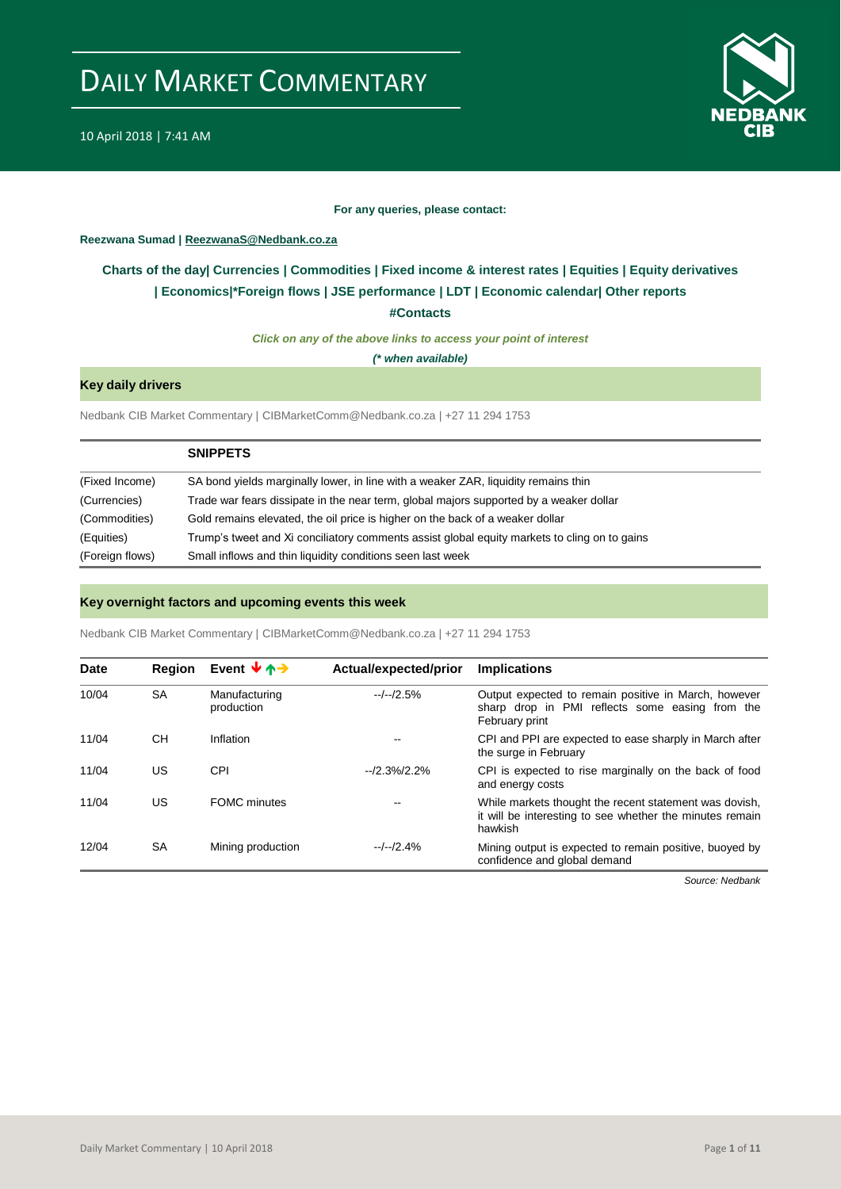

#### **For any queries, please contact:**

#### <span id="page-0-0"></span>**Reezwana Sumad | ReezwanaS@Nedbank.co.za**

### **Charts of the day| [Currencies](#page-2-0) [| Commodities](#page-3-0) | [Fixed income & interest rates](#page-1-0) | [Equities](#page-4-0) | Equity derivatives | Economics|[\\*Foreign flows](#page-7-0) [| JSE performance](#page-4-1) | [LDT](#page-5-0) | [Economic calendar|](#page-8-0) Other reports**

**[#Contacts](#page-9-0)**

*Click on any of the above links to access your point of interest*

*(\* when available)*

#### **Key daily drivers**

Nedbank CIB Market Commentary | CIBMarketComm@Nedbank.co.za | +27 11 294 1753

|                 | <b>SNIPPETS</b>                                                                              |
|-----------------|----------------------------------------------------------------------------------------------|
| (Fixed Income)  | SA bond yields marginally lower, in line with a weaker ZAR, liquidity remains thin           |
| (Currencies)    | Trade war fears dissipate in the near term, global majors supported by a weaker dollar       |
| (Commodities)   | Gold remains elevated, the oil price is higher on the back of a weaker dollar                |
| (Equities)      | Trump's tweet and Xi conciliatory comments assist global equity markets to cling on to gains |
| (Foreign flows) | Small inflows and thin liquidity conditions seen last week                                   |

#### **Key overnight factors and upcoming events this week**

Nedbank CIB Market Commentary | CIBMarketComm@Nedbank.co.za | +27 11 294 1753

| Date  | <b>Region</b> | Event $\forall$ $\uparrow$ $\rightarrow$ | Actual/expected/prior | <b>Implications</b>                                                                                                           |
|-------|---------------|------------------------------------------|-----------------------|-------------------------------------------------------------------------------------------------------------------------------|
| 10/04 | <b>SA</b>     | Manufacturing<br>production              | $-/-/2.5%$            | Output expected to remain positive in March, however<br>sharp drop in PMI reflects some easing from the<br>February print     |
| 11/04 | <b>CH</b>     | Inflation                                | $- -$                 | CPI and PPI are expected to ease sharply in March after<br>the surge in February                                              |
| 11/04 | US            | CPI                                      | $-2.3%2.2%$           | CPI is expected to rise marginally on the back of food<br>and energy costs                                                    |
| 11/04 | US            | <b>FOMC</b> minutes                      | $- -$                 | While markets thought the recent statement was dovish,<br>it will be interesting to see whether the minutes remain<br>hawkish |
| 12/04 | SA            | Mining production                        | $-/-/2.4%$            | Mining output is expected to remain positive, buoyed by<br>confidence and global demand                                       |

*Source: Nedbank*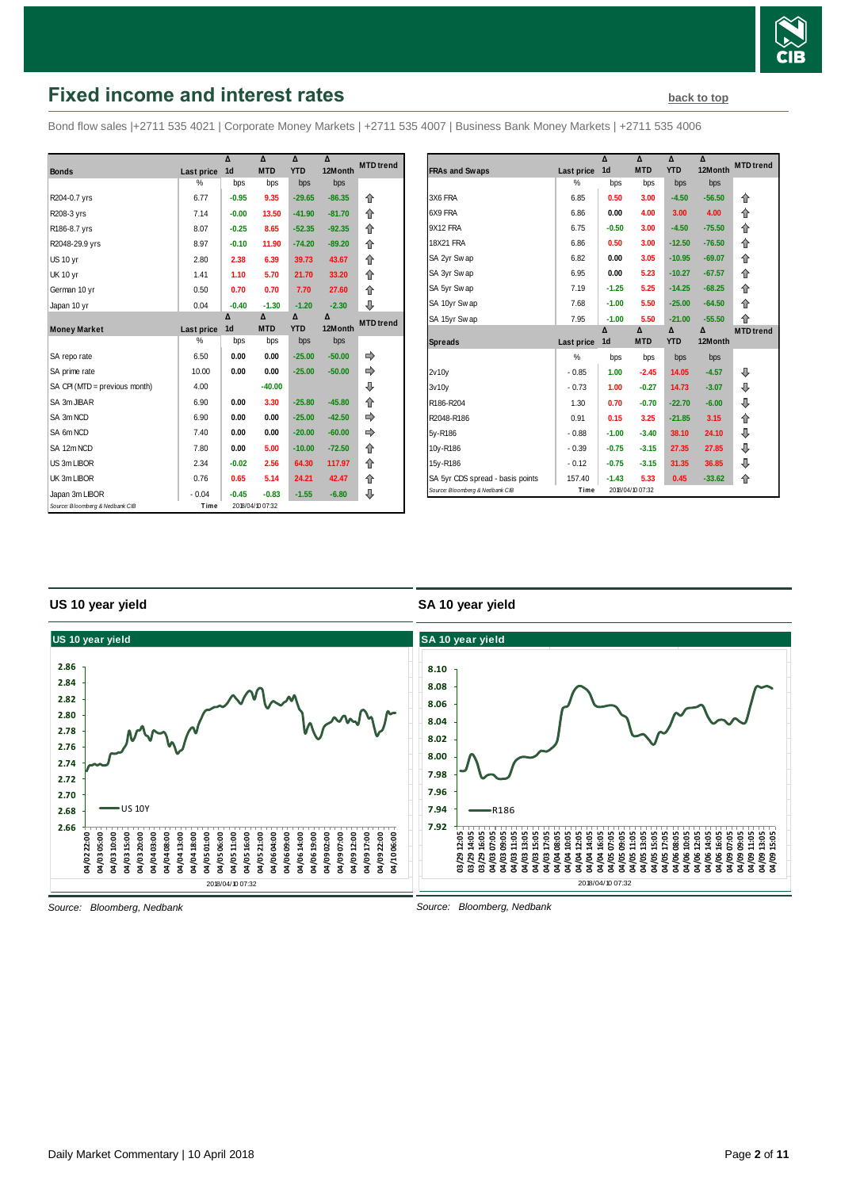

# <span id="page-1-0"></span>**Fixed income and interest rates [back to top](#page-0-0) back to top**

Bond flow sales |+2711 535 4021 | Corporate Money Markets | +2711 535 4007 | Business Bank Money Markets | +2711 535 4006

|                                 |            | Δ              | Δ                | Δ          | Δ        | <b>MTD</b> trend |
|---------------------------------|------------|----------------|------------------|------------|----------|------------------|
| <b>Bonds</b>                    | Last price | 1 <sub>d</sub> | <b>MTD</b>       | <b>YTD</b> | 12Month  |                  |
|                                 | %          | bps            | bps              | bps        | bps      |                  |
| R204-0.7 yrs                    | 6.77       | $-0.95$        | 9.35             | $-29.65$   | $-86.35$ | ⇑                |
| R208-3 yrs                      | 7.14       | $-0.00$        | 13.50            | $-41.90$   | $-81.70$ | 合                |
| R186-8.7 yrs                    | 8.07       | $-0.25$        | 8.65             | $-52.35$   | $-92.35$ | 合                |
| R2048-29.9 yrs                  | 8.97       | $-0.10$        | 11.90            | $-74.20$   | $-89.20$ | 合                |
| US 10 yr                        | 2.80       | 2.38           | 6.39             | 39.73      | 43.67    | 合                |
| <b>UK 10 yr</b>                 | 1.41       | 1.10           | 5.70             | 21.70      | 33.20    | 企                |
| German 10 yr                    | 0.50       | 0.70           | 0.70             | 7.70       | 27.60    | 企                |
| Japan 10 yr                     | 0.04       | $-0.40$        | $-1.30$          | $-1.20$    | $-2.30$  | ⊕                |
|                                 |            | Δ              | Δ                | Δ          | Δ        | <b>MTD</b> trend |
| <b>Money Market</b>             | Last price | 1 <sub>d</sub> | <b>MTD</b>       | <b>YTD</b> | 12Month  |                  |
|                                 | %          | bps            | bps              | bps        | bps      |                  |
| SA repo rate                    | 6.50       | 0.00           | 0.00             | $-25.00$   | $-50.00$ |                  |
| SA prime rate                   | 10.00      | 0.00           | 0.00             | $-25.00$   | $-50.00$ | ⇛                |
| SA CPI (MTD = previous month)   | 4.00       |                | $-40.00$         |            |          | ⊕                |
| SA 3m JIBAR                     | 6.90       | 0.00           | 3.30             | $-25.80$   | $-45.80$ | 企                |
| SA 3m NCD                       | 6.90       | 0.00           | 0.00             | $-25.00$   | $-42.50$ |                  |
| SA 6m NCD                       | 7.40       | 0.00           | 0.00             | $-20.00$   | $-60.00$ |                  |
| SA 12m NCD                      | 7.80       | 0.00           | 5.00             | $-10.00$   | $-72.50$ | 企                |
| US 3m LIBOR                     | 2.34       | $-0.02$        | 2.56             | 64.30      | 117.97   | ⇑                |
| UK 3m LIBOR                     | 0.76       | 0.65           | 5.14             | 24.21      | 42.47    | ⇑                |
| Japan 3m LIBOR                  | $-0.04$    | $-0.45$        | $-0.83$          | $-1.55$    | $-6.80$  | ⇩                |
| Source: Bloomberg & Nedbank CIB | Time       |                | 2018/04/10 07:32 |            |          |                  |

|                                  |            | Δ              | Δ          | Δ          | Δ        | <b>MTD</b> trend |
|----------------------------------|------------|----------------|------------|------------|----------|------------------|
| <b>FRAs and Swaps</b>            | Last price | 1 <sub>d</sub> | <b>MTD</b> | <b>YTD</b> | 12Month  |                  |
|                                  | %          | bps            | bps        | bps        | bps      |                  |
| 3X6 FRA                          | 6.85       | 0.50           | 3.00       | $-4.50$    | $-56.50$ | 企                |
| 6X9 FRA                          | 6.86       | 0.00           | 4.00       | 3.00       | 4.00     | 企                |
| 9X12 FRA                         | 6.75       | $-0.50$        | 3.00       | $-4.50$    | $-75.50$ | 企                |
| 18X21 FRA                        | 6.86       | 0.50           | 3.00       | $-12.50$   | $-76.50$ | ⇑                |
| SA 2yr Swap                      | 6.82       | 0.00           | 3.05       | $-10.95$   | $-69.07$ | 企                |
| SA 3yr Swap                      | 6.95       | 0.00           | 5.23       | $-10.27$   | $-67.57$ | 企                |
| SA 5yr Swap                      | 7.19       | $-1.25$        | 5.25       | $-14.25$   | $-68.25$ | 企                |
| SA 10yr Swap                     | 7.68       | $-1.00$        | 5.50       | $-25.00$   | $-64.50$ | 企                |
| SA 15yr Swap                     | 7.95       | $-1.00$        | 5.50       | $-21.00$   | $-55.50$ | 企                |
|                                  |            | Δ              | Δ          | Δ          | Δ        | <b>MTD</b> trend |
| <b>Spreads</b>                   | Last price | 1d             | <b>MTD</b> | <b>YTD</b> | 12Month  |                  |
|                                  |            |                |            |            |          |                  |
|                                  | %          | bps            | bps        | bps        | bps      |                  |
| 2v10v                            | $-0.85$    | 1.00           | $-2.45$    | 14.05      | $-4.57$  | ⊕                |
| 3v10v                            | $-0.73$    | 1.00           | $-0.27$    | 14.73      | $-3.07$  | ⊕                |
| R186-R204                        | 1.30       | 0.70           | $-0.70$    | $-22.70$   | $-6.00$  | ⊕                |
| R2048-R186                       | 0.91       | 0.15           | 3.25       | $-21.85$   | 3.15     | ⇑                |
| 5y-R186                          | $-0.88$    | $-1.00$        | $-3.40$    | 38.10      | 24.10    | ⊕                |
| 10y-R186                         | $-0.39$    | $-0.75$        | $-3.15$    | 27.35      | 27.85    | ⊕                |
| 15y-R186                         | $-0.12$    | $-0.75$        | $-3.15$    | 31.35      | 36.85    | ⊕                |
| SA 5yr CDS spread - basis points | 157.40     | $-1.43$        | 5.33       | 0.45       | $-33.62$ | 合                |

#### **US 10 year yield**

#### **SA 10 year yield**



*Source: Bloomberg, Nedbank*

*Source: Bloomberg, Nedbank*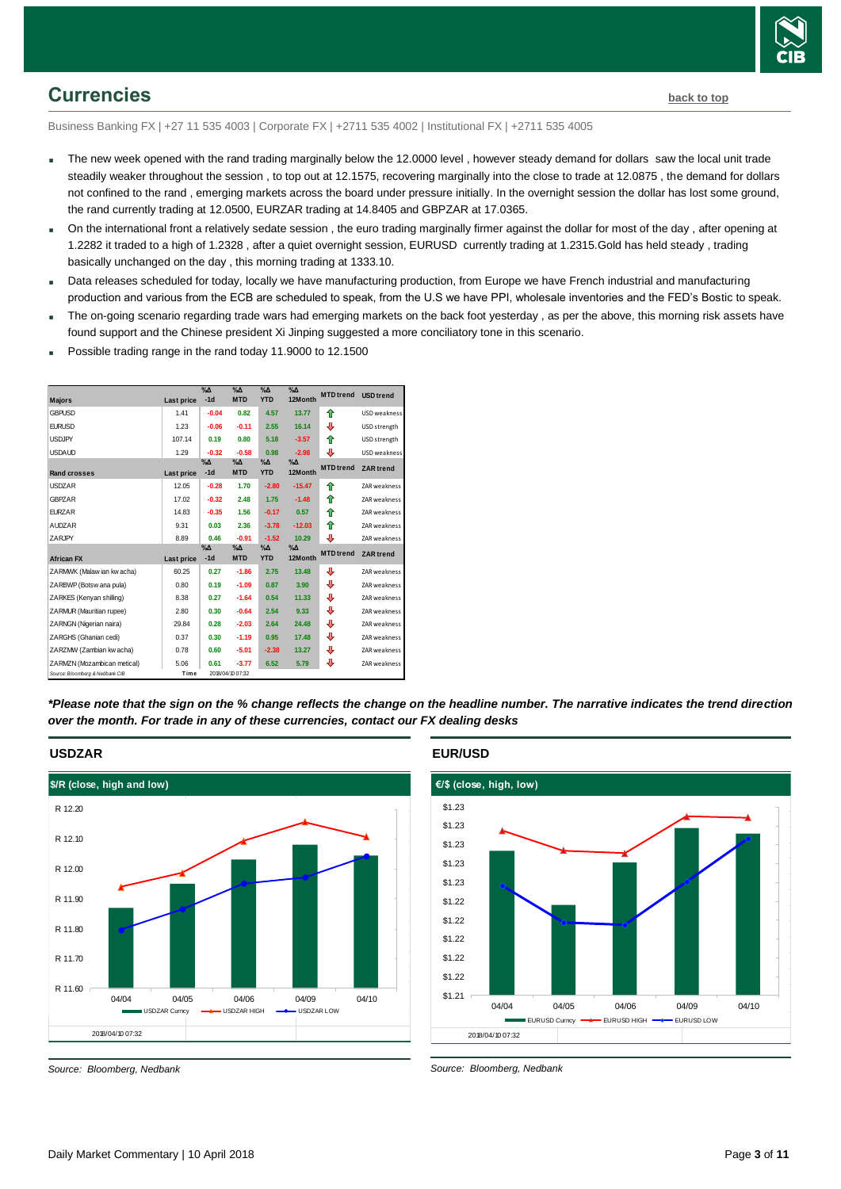

### <span id="page-2-0"></span>**Currencies [back to top](#page-0-0)**

Business Banking FX | +27 11 535 4003 | Corporate FX | +2711 535 4002 | Institutional FX | +2711 535 4005

- The new week opened with the rand trading marginally below the 12.0000 level, however steady demand for dollars saw the local unit trade steadily weaker throughout the session , to top out at 12.1575, recovering marginally into the close to trade at 12.0875 , the demand for dollars not confined to the rand , emerging markets across the board under pressure initially. In the overnight session the dollar has lost some ground, the rand currently trading at 12.0500, EURZAR trading at 14.8405 and GBPZAR at 17.0365.
- On the international front a relatively sedate session , the euro trading marginally firmer against the dollar for most of the day , after opening at 1.2282 it traded to a high of 1.2328 , after a quiet overnight session, EURUSD currently trading at 1.2315.Gold has held steady , trading basically unchanged on the day , this morning trading at 1333.10.
- Data releases scheduled for today, locally we have manufacturing production, from Europe we have French industrial and manufacturing production and various from the ECB are scheduled to speak, from the U.S we have PPI, wholesale inventories and the FED's Bostic to speak.
- The on-going scenario regarding trade wars had emerging markets on the back foot yesterday , as per the above, this morning risk assets have found support and the Chinese president Xi Jinping suggested a more conciliatory tone in this scenario.
- Possible trading range in the rand today 11.9000 to 12.1500

| <b>Majors</b>                   | Last price | $\% \Delta$<br>$-1d$ | $\%$ $\Delta$<br><b>MTD</b> | $\% \Delta$<br><b>YTD</b> | $\%$ $\Delta$<br>12Month | <b>MTD</b> trend | <b>USD</b> trend |
|---------------------------------|------------|----------------------|-----------------------------|---------------------------|--------------------------|------------------|------------------|
| <b>GBPUSD</b>                   | 1.41       | $-0.04$              | 0.82                        | 4.57                      | 13.77                    | ♠                | USD weakness     |
| <b>FURUSD</b>                   | 1.23       | $-0.06$              | $-0.11$                     | 2.55                      | 16.14                    | ⊕                | USD strength     |
| <b>USDJPY</b>                   | 107.14     | 0.19                 | 0.80                        | 5.18                      | $-3.57$                  | ♠                | USD strength     |
| <b>USDAUD</b>                   | 1.29       | $-0.32$              | $-0.58$                     | 0.98                      | $-2.98$                  | ⇩                | USD weakness     |
| <b>Rand crosses</b>             | Last price | $\% \Delta$<br>$-1d$ | $\%$ $\Delta$<br><b>MTD</b> | $\% \Delta$<br><b>YTD</b> | $\%$ $\Delta$<br>12Month | <b>MTD</b> trend | <b>ZAR</b> trend |
| <b>USDZAR</b>                   | 12.05      | $-0.28$              | 1.70                        | $-2.80$                   | $-15.47$                 | ♠                | ZAR weakness     |
| GBPZAR                          | 17.02      | $-0.32$              | 2.48                        | 1.75                      | $-1.48$                  | ♠                | ZAR weakness     |
| <b>EURZAR</b>                   | 14.83      | $-0.35$              | 1.56                        | $-0.17$                   | 0.57                     | ₳                | ZAR weakness     |
| <b>AUDZAR</b>                   | 9.31       | 0.03                 | 2.36                        | $-3.78$                   | $-12.03$                 | ↟                | ZAR weakness     |
| ZARJPY                          | 8.89       | 0.46                 | $-0.91$                     | $-1.52$                   | 10.29                    | ⇩                | ZAR weakness     |
| <b>African FX</b>               | Last price | $\% \Delta$<br>$-1d$ | $\% \Delta$<br><b>MTD</b>   | $\% \Delta$<br><b>YTD</b> | $\%$ $\Delta$<br>12Month | <b>MTD</b> trend | <b>ZAR</b> trend |
| ZARMWK (Malaw ian kw acha)      | 60.25      | 0.27                 | $-1.86$                     | 2.75                      | 13.48                    | ⊕                | ZAR weakness     |
| ZARBWP (Botsw ana pula)         | 0.80       | 0.19                 | $-1.09$                     | 0.87                      | 3.90                     | ⇩                | ZAR weakness     |
| ZARKES (Kenyan shilling)        | 8.38       | 0.27                 | $-1.64$                     | 0.54                      | 11.33                    | ₽                | ZAR weakness     |
| ZARMUR (Mauritian rupee)        | 2.80       | 0.30                 | $-0.64$                     | 2.54                      | 9.33                     | ⇩                | ZAR weakness     |
| ZARNGN (Nigerian naira)         | 29.84      | 0.28                 | $-2.03$                     | 2.64                      | 24.48                    | ⇩                | ZAR weakness     |
| ZARGHS (Ghanian cedi)           | 0.37       | 0.30                 | $-1.19$                     | 0.95                      | 17.48                    | ⇩                | ZAR weakness     |
| ZARZMW (Zambian kw acha)        | 0.78       | 0.60                 | $-5.01$                     | $-2.38$                   | 13.27                    | ₽                | ZAR weakness     |
| ZARMZN (Mozambican metical)     | 5.06       | 0.61                 | $-3.77$                     | 6.52                      | 5.79                     | ⇩                | ZAR weakness     |
| Source: Bloomberg & Nedbank CIB | Time       |                      | 2018/04/10 07:32            |                           |                          |                  |                  |

*\*Please note that the sign on the % change reflects the change on the headline number. The narrative indicates the trend direction over the month. For trade in any of these currencies, contact our FX dealing desks*

# **USDZAR**



*Source: Bloomberg, Nedbank*

**EUR/USD**



*Source: Bloomberg, Nedbank*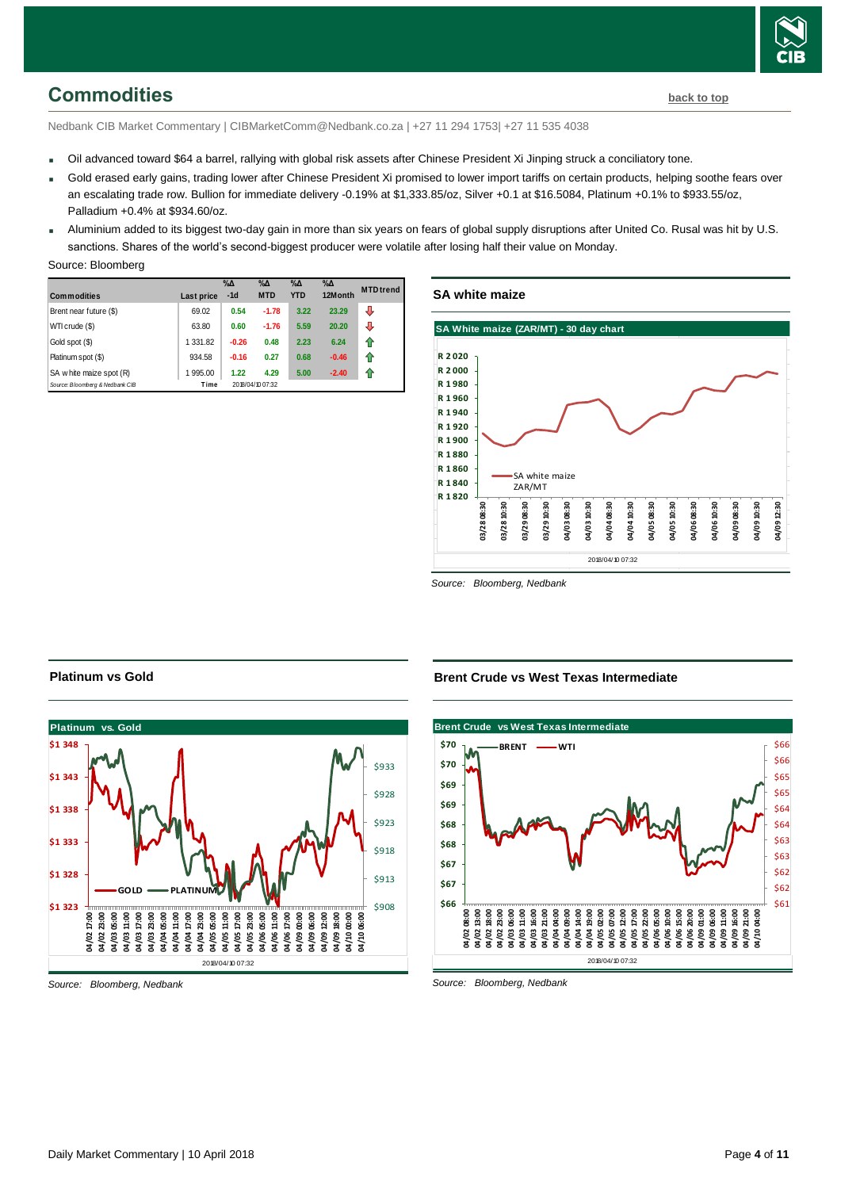

### <span id="page-3-0"></span>**Commodities [back to top](#page-0-0)**

Nedbank CIB Market Commentary | CIBMarketComm@Nedbank.co.za | +27 11 294 1753| +27 11 535 4038

- Oil advanced toward \$64 a barrel, rallying with global risk assets after Chinese President Xi Jinping struck a conciliatory tone.
- Gold erased early gains, trading lower after Chinese President Xi promised to lower import tariffs on certain products, helping soothe fears over an escalating trade row. Bullion for immediate delivery -0.19% at \$1,333.85/oz, Silver +0.1 at \$16.5084, Platinum +0.1% to \$933.55/oz, Palladium +0.4% at \$934.60/oz.
- Aluminium added to its biggest two-day gain in more than six years on fears of global supply disruptions after United Co. Rusal was hit by U.S. sanctions. Shares of the world's second-biggest producer were volatile after losing half their value on Monday.

#### Source: Bloomberg

| <b>Commodities</b>              | Last price | $\%$ $\Delta$<br>$-1d$ | $\% \Delta$<br><b>MTD</b> | $\% \Delta$<br><b>YTD</b> | $\% \Delta$<br>12Month | <b>MTD</b> trend |
|---------------------------------|------------|------------------------|---------------------------|---------------------------|------------------------|------------------|
| Brent near future (\$)          | 69.02      | 0.54                   | $-1.78$                   | 3.22                      | 23.29                  | J                |
| WTI crude (\$)                  | 63.80      | 0.60                   | $-1.76$                   | 5.59                      | 20.20                  | ⇩                |
| Gold spot (\$)                  | 1 331.82   | $-0.26$                | 0.48                      | 2.23                      | 6.24                   |                  |
| Platinum spot (\$)              | 934.58     | $-0.16$                | 0.27                      | 0.68                      | $-0.46$                | ⇑                |
| SA w hite maize spot (R)        | 1995.00    | 1.22                   | 4.29                      | 5.00                      | $-2.40$                |                  |
| Source: Bloomberg & Nedbank CIB | Time       |                        | 2018/04/10 07:32          |                           |                        |                  |

#### **SA white maize**



*Source: Bloomberg, Nedbank*



#### *Source: Bloomberg, Nedbank*

**Platinum vs Gold**

**Brent Crude vs West Texas Intermediate**



*Source: Bloomberg, Nedbank*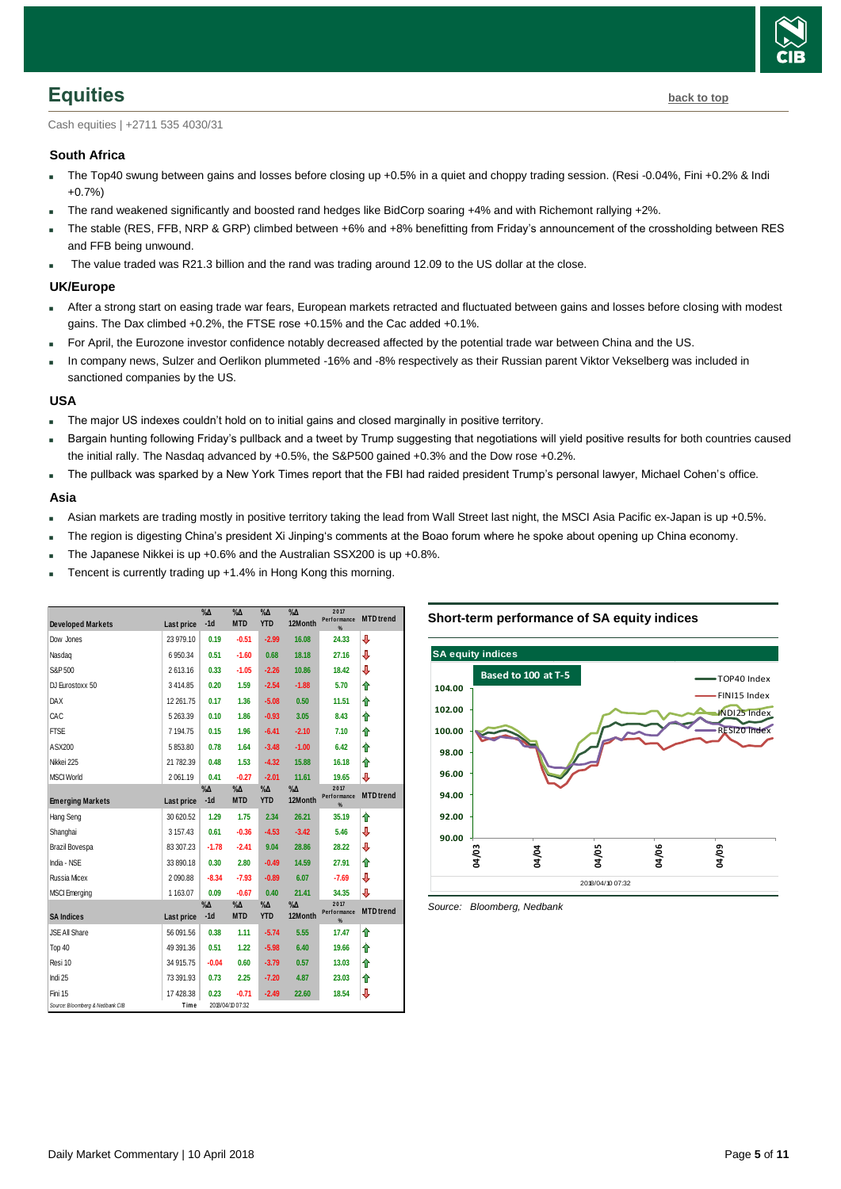

### <span id="page-4-0"></span>**Equities [back to top](#page-0-0)**

Cash equities | +2711 535 4030/31

#### **South Africa**

- The Top40 swung between gains and losses before closing up +0.5% in a quiet and choppy trading session. (Resi -0.04%, Fini +0.2% & Indi +0.7%)
- The rand weakened significantly and boosted rand hedges like BidCorp soaring +4% and with Richemont rallying +2%.
- The stable (RES, FFB, NRP & GRP) climbed between +6% and +8% benefitting from Friday's announcement of the crossholding between RES and FFB being unwound.
- The value traded was R21.3 billion and the rand was trading around 12.09 to the US dollar at the close.

#### **UK/Europe**

- After a strong start on easing trade war fears, European markets retracted and fluctuated between gains and losses before closing with modest gains. The Dax climbed +0.2%, the FTSE rose +0.15% and the Cac added +0.1%.
- For April, the Eurozone investor confidence notably decreased affected by the potential trade war between China and the US.
- In company news, Sulzer and Oerlikon plummeted -16% and -8% respectively as their Russian parent Viktor Vekselberg was included in sanctioned companies by the US.

#### **USA**

- The major US indexes couldn't hold on to initial gains and closed marginally in positive territory.
- Bargain hunting following Friday's pullback and a tweet by Trump suggesting that negotiations will yield positive results for both countries caused the initial rally. The Nasdaq advanced by +0.5%, the S&P500 gained +0.3% and the Dow rose +0.2%.
- The pullback was sparked by a New York Times report that the FBI had raided president Trump's personal lawyer, Michael Cohen's office.

#### **Asia**

- Asian markets are trading mostly in positive territory taking the lead from Wall Street last night, the MSCI Asia Pacific ex-Japan is up +0.5%.
- The region is digesting China's president Xi Jinping's comments at the Boao forum where he spoke about opening up China economy.
- The Japanese Nikkei is up +0.6% and the Australian SSX200 is up +0.8%.
- Tencent is currently trading up +1.4% in Hong Kong this morning.

| <b>Developed Markets</b>        | Last price | $\%$ $\Delta$<br>$-1d$ | $\sqrt[9]{6\Lambda}$<br><b>MTD</b> | $\%$ $\Delta$<br><b>YTD</b> | $\%$ $\Delta$<br>12Month | 2017<br>Performance<br>% | <b>MTD</b> trend |
|---------------------------------|------------|------------------------|------------------------------------|-----------------------------|--------------------------|--------------------------|------------------|
| Dow Jones                       | 23 979.10  | 0.19                   | $-0.51$                            | $-2.99$                     | 16.08                    | 24.33                    | ⇩                |
| Nasdag                          | 6 950.34   | 0.51                   | $-1.60$                            | 0.68                        | 18.18                    | 27.16                    | J                |
| S&P 500                         | 2613.16    | 0.33                   | $-1.05$                            | $-2.26$                     | 10.86                    | 18.42                    | J                |
| DJ Eurostoxx 50                 | 3414.85    | 0.20                   | 1.59                               | $-2.54$                     | $-1.88$                  | 5.70                     | ⇑                |
| DAX                             | 12 261.75  | 0.17                   | 1.36                               | $-5.08$                     | 0.50                     | 11.51                    | ⇑                |
| CAC                             | 5 263.39   | 0.10                   | 1.86                               | $-0.93$                     | 3.05                     | 8.43                     | ⇑                |
| <b>FTSE</b>                     | 7 194.75   | 0.15                   | 1.96                               | $-6.41$                     | $-2.10$                  | 7.10                     | ⇑                |
| ASX200                          | 5853.80    | 0.78                   | 1.64                               | $-3.48$                     | $-1.00$                  | 6.42                     | ⇑                |
| Nikkei 225                      | 21 782.39  | 0.48                   | 1.53                               | $-4.32$                     | 15.88                    | 16.18                    | ⇑                |
| <b>MSCI World</b>               | 2061.19    | 0.41                   | $-0.27$                            | $-2.01$                     | 11.61                    | 19.65                    | ⇩                |
| <b>Emerging Markets</b>         | Last price | $\%$ $\Delta$<br>$-1d$ | $\% \Delta$<br><b>MTD</b>          | $\% \Delta$<br><b>YTD</b>   | $\% \Delta$<br>12Month   | 2017<br>Performance<br>% | <b>MTD</b> trend |
| Hang Seng                       | 30 620.52  | 1.29                   | 1.75                               | 2.34                        | 26.21                    | 35.19                    | ⇑                |
| Shanghai                        | 3 157.43   | 0.61                   | $-0.36$                            | $-4.53$                     | $-3.42$                  | 5.46                     | ⇩                |
| Brazil Bovespa                  | 83 307.23  | $-1.78$                | $-2.41$                            | 9.04                        | 28.86                    | 28.22                    | ⇩                |
| India - NSE                     | 33 890.18  | 0.30                   | 2.80                               | $-0.49$                     | 14.59                    | 27.91                    | ⇑                |
| Russia Micex                    | 2 090.88   | $-8.34$                | $-7.93$                            | $-0.89$                     | 6.07                     | $-7.69$                  | ⇩                |
| <b>MSCI</b> Emerging            | 1 163.07   | 0.09                   | $-0.67$                            | 0.40                        | 21.41                    | 34.35                    | ⇩                |
| <b>SA Indices</b>               | Last price | $\%$ $\Delta$<br>$-1d$ | $\%$ $\Delta$<br><b>MTD</b>        | $\%$ $\Delta$<br><b>YTD</b> | $\%$ $\Delta$<br>12Month | 2017<br>Performance      | <b>MTD</b> trend |
| <b>JSE All Share</b>            | 56 091.56  | 0.38                   | 1.11                               | $-5.74$                     | 5.55                     | %<br>17.47               | ⇑                |
| Top 40                          | 49 391.36  | 0.51                   | 1.22                               | $-5.98$                     | 6.40                     | 19.66                    | ♠                |
| Resi 10                         | 34 915.75  | $-0.04$                | 0.60                               | $-3.79$                     | 0.57                     | 13.03                    | ⇑                |
| Indi 25                         | 73 391.93  | 0.73                   | 2.25                               | $-7.20$                     | 4.87                     | 23.03                    | ⇑                |
| Fini 15                         | 17428.38   | 0.23                   | $-0.71$                            | $-2.49$                     | 22.60                    | 18.54                    | ⇩                |
| Source: Bloomberg & Nedbank CIB | Time       |                        | 2018/04/10 07:32                   |                             |                          |                          |                  |

#### **Short-term performance of SA equity indices**



<span id="page-4-1"></span>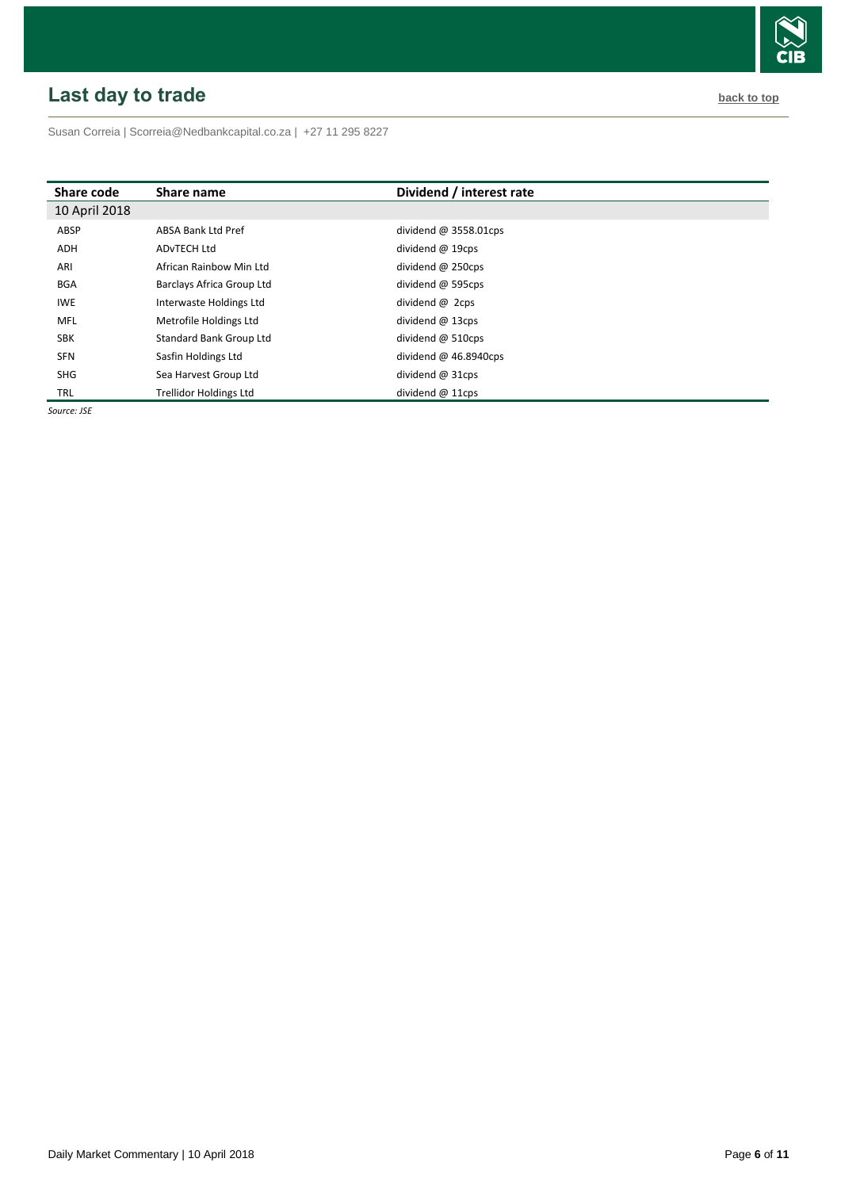# <span id="page-5-0"></span>**Last** day to trade **back to the contract of the contract of the contract of the contract of the contract of the contract of the contract of the contract of the contract of the contract of the contract of the contract of t**

Susan Correia [| Scorreia@Nedbankcapital.co.za](mailto:Scorreia@Nedbankcapital.co.za) | +27 11 295 8227

| Share code    | Share name                     | Dividend / interest rate |
|---------------|--------------------------------|--------------------------|
| 10 April 2018 |                                |                          |
| ABSP          | <b>ABSA Bank Ltd Pref</b>      | dividend $@3558.01$ cps  |
| <b>ADH</b>    | AD <sub>v</sub> TECH Ltd       | dividend $@$ 19cps       |
| ARI           | African Rainbow Min Ltd        | dividend @ 250cps        |
| <b>BGA</b>    | Barclays Africa Group Ltd      | dividend @ 595cps        |
| <b>IWE</b>    | Interwaste Holdings Ltd        | dividend @ 2cps          |
| MFL           | Metrofile Holdings Ltd         | dividend $@$ 13cps       |
| <b>SBK</b>    | <b>Standard Bank Group Ltd</b> | dividend $@$ 510cps      |
| <b>SFN</b>    | Sasfin Holdings Ltd            | dividend $@$ 46.8940cps  |
| <b>SHG</b>    | Sea Harvest Group Ltd          | dividend @ 31cps         |
| TRL           | <b>Trellidor Holdings Ltd</b>  | dividend $@$ 11cps       |

*Source: JSE*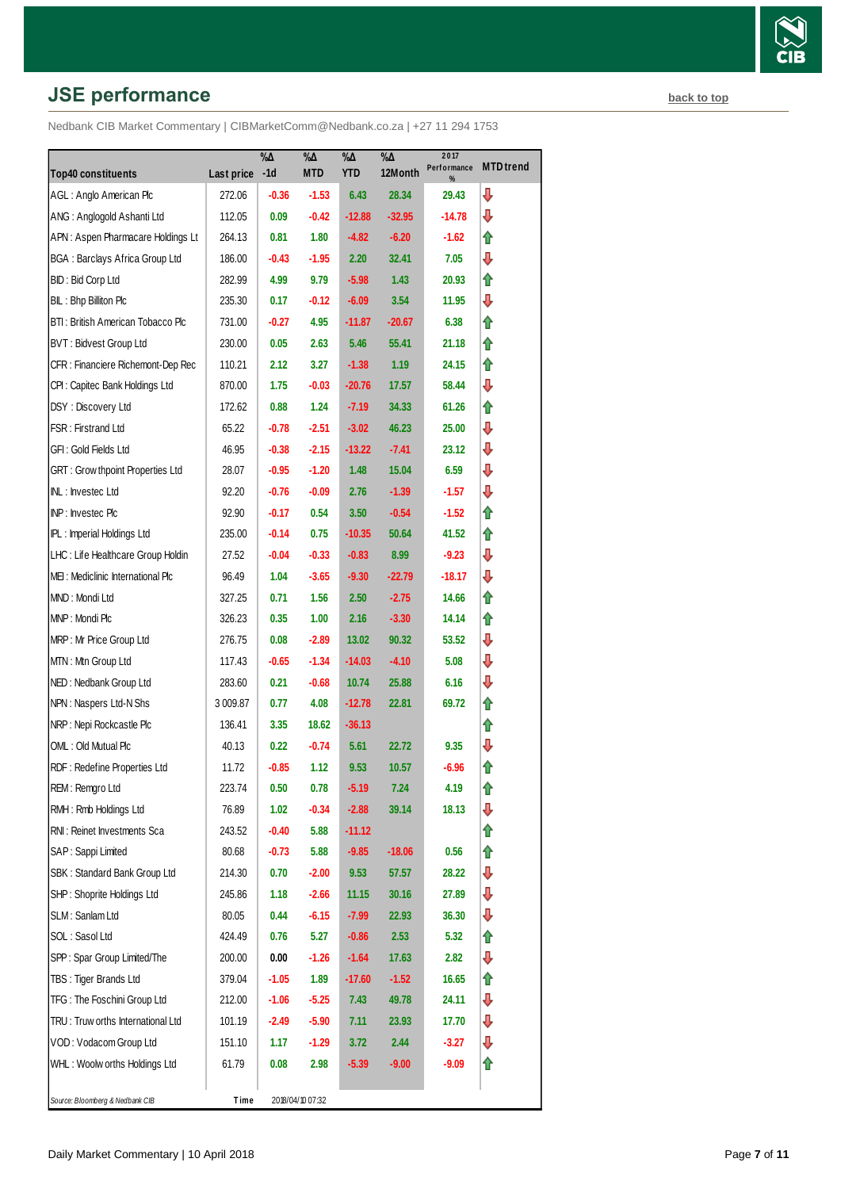# **JSE performance [back to top](#page-0-0) back to top**

|                                         |            | $\% \Delta$ | %Д               | $\% \Delta$ | $\% \Delta$ | 2017<br>Performance | <b>MTD</b> trend |
|-----------------------------------------|------------|-------------|------------------|-------------|-------------|---------------------|------------------|
| <b>Top40 constituents</b>               | Last price | $-1d$       | <b>MTD</b>       | <b>YTD</b>  | 12Month     | %                   |                  |
| AGL: Anglo American Plc                 | 272.06     | $-0.36$     | $-1.53$          | 6.43        | 28.34       | 29.43               | ⇩                |
| ANG: Anglogold Ashanti Ltd              | 112.05     | 0.09        | $-0.42$          | $-12.88$    | $-32.95$    | -14.78              | ⇩                |
| APN: Aspen Pharmacare Holdings Lt       | 264.13     | 0.81        | 1.80             | $-4.82$     | $-6.20$     | -1.62               | ⇑                |
| <b>BGA: Barclays Africa Group Ltd</b>   | 186.00     | -0.43       | $-1.95$          | 2.20        | 32.41       | 7.05                | ⇩                |
| BID: Bid Corp Ltd                       | 282.99     | 4.99        | 9.79             | $-5.98$     | 1.43        | 20.93               | ⇑                |
| BIL: Bhp Billiton Plc                   | 235.30     | 0.17        | $-0.12$          | $-6.09$     | 3.54        | 11.95               | ⇩                |
| BTI: British American Tobacco Plc       | 731.00     | $-0.27$     | 4.95             | $-11.87$    | $-20.67$    | 6.38                | ⇑                |
| BVT: Bidvest Group Ltd                  | 230.00     | 0.05        | 2.63             | 5.46        | 55.41       | 21.18               | ⇑                |
| CFR : Financiere Richemont-Dep Rec      | 110.21     | 2.12        | 3.27             | $-1.38$     | 1.19        | 24.15               | ⇑                |
| CPI: Capitec Bank Holdings Ltd          | 870.00     | 1.75        | $-0.03$          | $-20.76$    | 17.57       | 58.44               | ⇩                |
| DSY: Discovery Ltd                      | 172.62     | 0.88        | 1.24             | $-7.19$     | 34.33       | 61.26               | ⇑                |
| FSR: Firstrand Ltd                      | 65.22      | $-0.78$     | $-2.51$          | $-3.02$     | 46.23       | 25.00               | ⇩                |
| GFI : Gold Fields Ltd                   | 46.95      | $-0.38$     | $-2.15$          | $-13.22$    | $-7.41$     | 23.12               | ⇩                |
| <b>GRT: Grow thpoint Properties Ltd</b> | 28.07      | $-0.95$     | $-1.20$          | 1.48        | 15.04       | 6.59                | ⇩                |
| INL: Investec Ltd                       | 92.20      | $-0.76$     | $-0.09$          | 2.76        | $-1.39$     | $-1.57$             | ⇩                |
| INP: Investec Plc                       | 92.90      | $-0.17$     | 0.54             | 3.50        | $-0.54$     | -1.52               | ⇑                |
| IPL: Imperial Holdings Ltd              | 235.00     | $-0.14$     | 0.75             | $-10.35$    | 50.64       | 41.52               | ⇑                |
| LHC: Life Healthcare Group Holdin       | 27.52      | $-0.04$     | $-0.33$          | $-0.83$     | 8.99        | $-9.23$             | ⇩                |
| MEI: Mediclinic International Plc       | 96.49      | 1.04        | $-3.65$          | $-9.30$     | $-22.79$    | $-18.17$            | ⇩                |
| MND: Mondi Ltd                          | 327.25     | 0.71        | 1.56             | 2.50        | $-2.75$     | 14.66               | ⇑                |
| MNP: Mondi Plc                          | 326.23     | 0.35        | 1.00             | 2.16        | $-3.30$     | 14.14               | ⇑                |
| MRP: Mr Price Group Ltd                 | 276.75     | 0.08        | $-2.89$          | 13.02       | 90.32       | 53.52               | ⇩                |
| MTN: Mtn Group Ltd                      | 117.43     | $-0.65$     | $-1.34$          | $-14.03$    | $-4.10$     | 5.08                | ⇩                |
| NED: Nedbank Group Ltd                  | 283.60     | 0.21        | $-0.68$          | 10.74       | 25.88       | 6.16                | ⇩                |
| NPN: Naspers Ltd-N Shs                  | 3 009.87   | 0.77        | 4.08             | $-12.78$    | 22.81       | 69.72               | ⇑                |
| NRP: Nepi Rockcastle Plc                | 136.41     | 3.35        | 18.62            | $-36.13$    |             |                     | ⇑                |
| OML: Old Mutual Plc                     | 40.13      | 0.22        | $-0.74$          | 5.61        | 22.72       | 9.35                | ⇩                |
| RDF: Redefine Properties Ltd            | 11.72      | $-0.85$     | 1.12             | 9.53        | 10.57       | $-6.96$             | ⇑                |
| REM: Remgro Ltd                         | 223.74     | 0.50        | 0.78             | $-5.19$     | 7.24        | 4.19                | ⇑                |
| RMH : Rmb Holdings Ltd                  | 76.89      | 1.02        | $-0.34$          | $-2.88$     | 39.14       | 18.13               | ⊕                |
| RNI: Reinet Investments Sca             | 243.52     | $-0.40$     | 5.88             | $-11.12$    |             |                     | ⇑                |
| SAP: Sappi Limited                      | 80.68      | $-0.73$     | 5.88             | $-9.85$     | $-18.06$    | 0.56                | ⇑                |
| SBK: Standard Bank Group Ltd            | 214.30     | 0.70        | $-2.00$          | 9.53        | 57.57       | 28.22               | ₽                |
| SHP: Shoprite Holdings Ltd              | 245.86     | 1.18        | $-2.66$          | 11.15       | 30.16       | 27.89               | ⊕                |
| SLM: Sanlam Ltd                         | 80.05      | 0.44        | $-6.15$          | $-7.99$     | 22.93       | 36.30               | ⇩                |
| SOL: Sasol Ltd                          | 424.49     | 0.76        | 5.27             | $-0.86$     | 2.53        | 5.32                | ⇑                |
| SPP: Spar Group Limited/The             | 200.00     | 0.00        | $-1.26$          | $-1.64$     | 17.63       | 2.82                | ₽                |
| TBS: Tiger Brands Ltd                   | 379.04     | $-1.05$     | 1.89             | $-17.60$    | $-1.52$     | 16.65               | ⇮                |
| TFG: The Foschini Group Ltd             | 212.00     | $-1.06$     | $-5.25$          | 7.43        | 49.78       | 24.11               | ⊕                |
| TRU: Truw orths International Ltd       | 101.19     | -2.49       | $-5.90$          | 7.11        | 23.93       | 17.70               | ⇩                |
| VOD: Vodacom Group Ltd                  | 151.10     | 1.17        | $-1.29$          | 3.72        | 2.44        | $-3.27$             | ⊕                |
| WHL: Woolw orths Holdings Ltd           | 61.79      | 0.08        | 2.98             | $-5.39$     | $-9.00$     | -9.09               | ⇑                |
|                                         |            |             |                  |             |             |                     |                  |
| Source: Bloomberg & Nedbank CIB         | Time       |             | 2018/04/10 07:32 |             |             |                     |                  |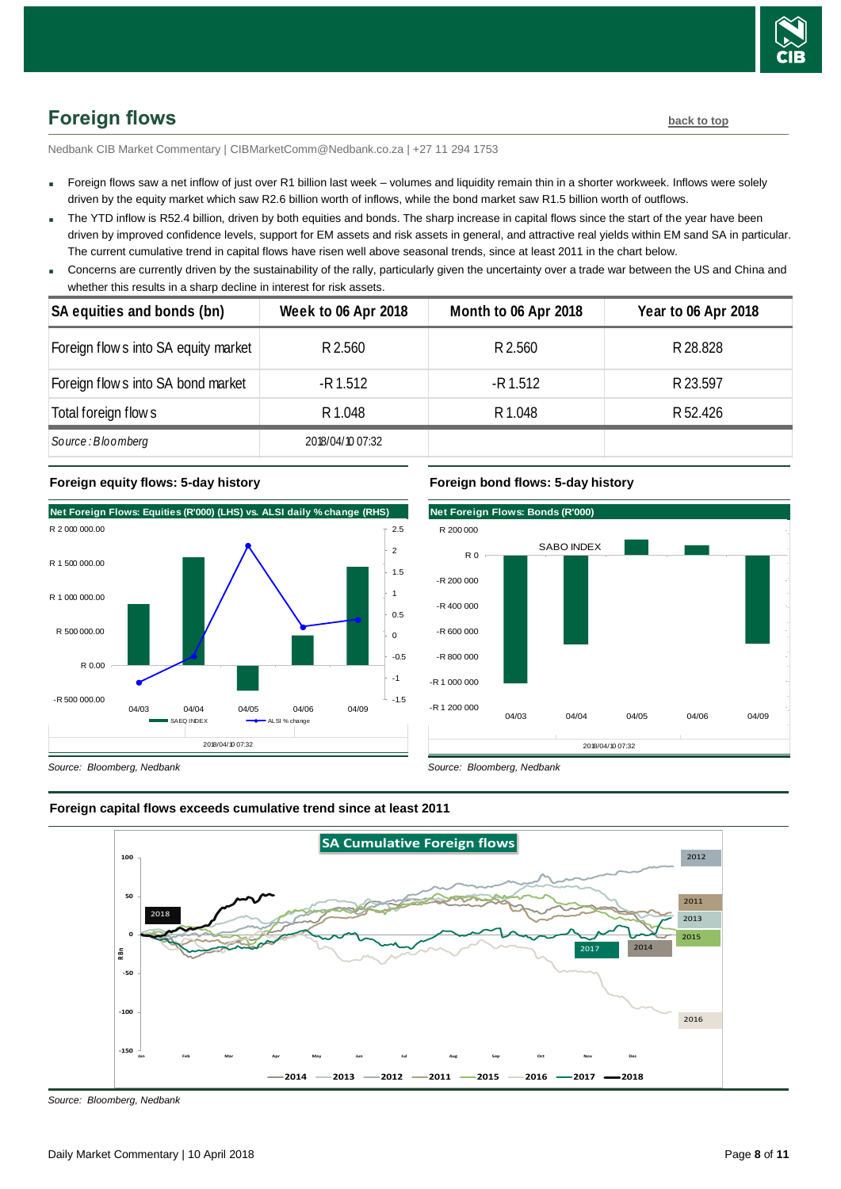

# <span id="page-7-0"></span>**Foreign flows [back to top](#page-0-0)**

Nedbank CIB Market Commentary | CIBMarketComm@Nedbank.co.za | +27 11 294 1753

- Foreign flows saw a net inflow of just over R1 billion last week volumes and liquidity remain thin in a shorter workweek. Inflows were solely driven by the equity market which saw R2.6 billion worth of inflows, while the bond market saw R1.5 billion worth of outflows.
- The YTD inflow is R52.4 billion, driven by both equities and bonds. The sharp increase in capital flows since the start of the year have been driven by improved confidence levels, support for EM assets and risk assets in general, and attractive real yields within EM sand SA in particular. The current cumulative trend in capital flows have risen well above seasonal trends, since at least 2011 in the chart below.
- Concerns are currently driven by the sustainability of the rally, particularly given the uncertainty over a trade war between the US and China and whether this results in a sharp decline in interest for risk assets.

| SA equities and bonds (bn)           | <b>Week to 06 Apr 2018</b> | Month to 06 Apr 2018 | <b>Year to 06 Apr 2018</b> |
|--------------------------------------|----------------------------|----------------------|----------------------------|
| Foreign flow s into SA equity market | R 2.560                    | R 2.560              | R 28.828                   |
| Foreign flow s into SA bond market   | -R 1.512                   | -R 1.512             | R 23.597                   |
| Total foreign flow s                 | R 1.048                    | R 1.048              | R 52.426                   |
| Source: Bloomberg                    | 2018/04/10 07:32           |                      |                            |

#### **Foreign equity flows: 5-day history**



## **Foreign bond flows: 5-day history**



*Source: Bloomberg, Nedbank*



#### **Foreign capital flows exceeds cumulative trend since at least 2011**

*Source: Bloomberg, Nedbank*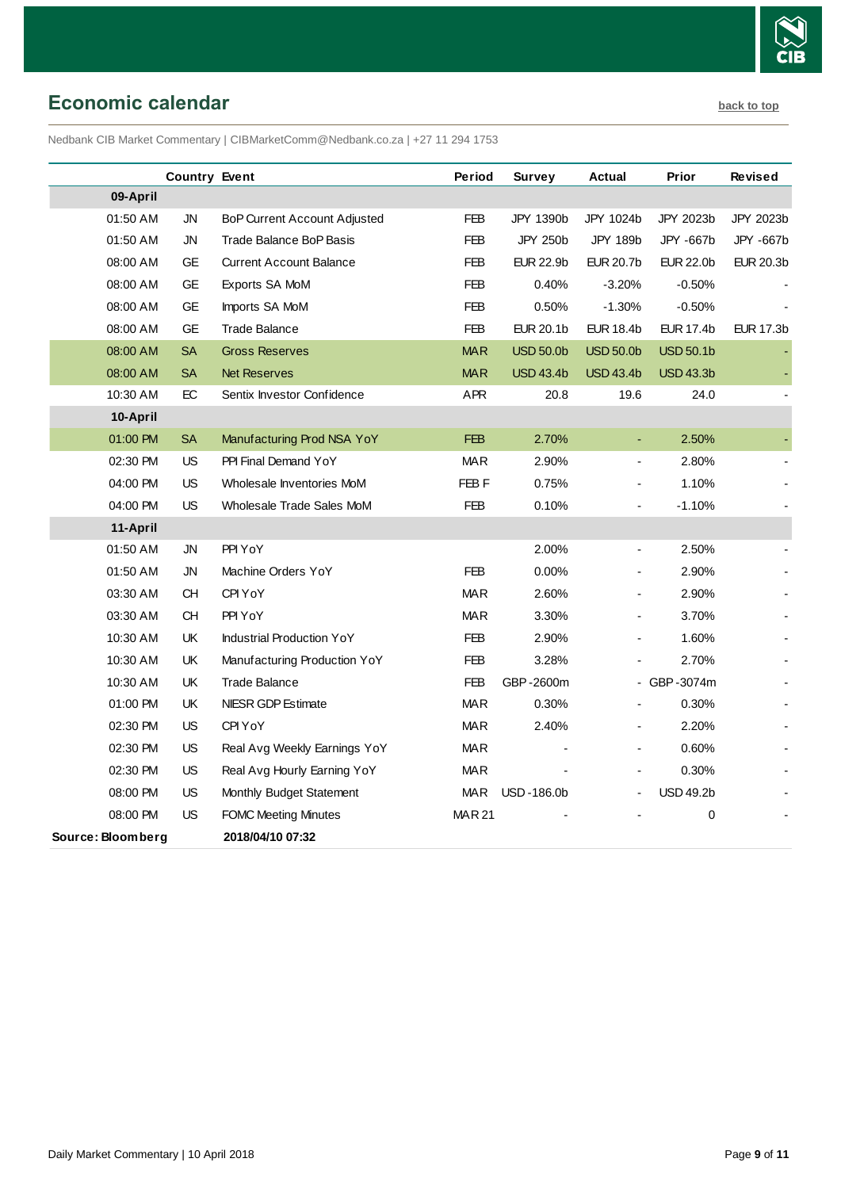

# <span id="page-8-0"></span>**Economic calendar [back to top](#page-0-0)**

Nedbank CIB Market Commentary | CIBMarketComm@Nedbank.co.za | +27 11 294 1753

|                   | <b>Country Event</b> |                                  | Period           | Survey           | Actual                   | Prior            | Revised          |
|-------------------|----------------------|----------------------------------|------------------|------------------|--------------------------|------------------|------------------|
| 09-April          |                      |                                  |                  |                  |                          |                  |                  |
| 01:50 AM          | <b>JN</b>            | BoP Current Account Adjusted     | <b>FEB</b>       | JPY 1390b        | JPY 1024b                | JPY 2023b        | JPY 2023b        |
| 01:50 AM          | ${\sf JN}$           | <b>Trade Balance BoP Basis</b>   | <b>FEB</b>       | JPY 250b         | <b>JPY 189b</b>          | JPY -667b        | JPY -667b        |
| 08:00 AM          | GE                   | <b>Current Account Balance</b>   | FEB              | <b>EUR 22.9b</b> | <b>EUR 20.7b</b>         | <b>EUR 22.0b</b> | <b>EUR 20.3b</b> |
| 08:00 AM          | GE                   | Exports SA MoM                   | <b>FEB</b>       | 0.40%            | $-3.20%$                 | $-0.50%$         |                  |
| 08:00 AM          | GE                   | Imports SA MoM                   | <b>FEB</b>       | 0.50%            | $-1.30%$                 | $-0.50%$         |                  |
| 08:00 AM          | <b>GE</b>            | <b>Trade Balance</b>             | <b>FEB</b>       | <b>EUR 20.1b</b> | <b>EUR 18.4b</b>         | <b>EUR 17.4b</b> | <b>EUR 17.3b</b> |
| 08:00 AM          | <b>SA</b>            | <b>Gross Reserves</b>            | <b>MAR</b>       | <b>USD 50.0b</b> | <b>USD 50.0b</b>         | <b>USD 50.1b</b> |                  |
| 08:00 AM          | <b>SA</b>            | <b>Net Reserves</b>              | <b>MAR</b>       | <b>USD 43.4b</b> | <b>USD 43.4b</b>         | <b>USD 43.3b</b> |                  |
| 10:30 AM          | EC                   | Sentix Investor Confidence       | <b>APR</b>       | 20.8             | 19.6                     | 24.0             |                  |
| 10-April          |                      |                                  |                  |                  |                          |                  |                  |
| 01:00 PM          | <b>SA</b>            | Manufacturing Prod NSA YoY       | <b>FEB</b>       | 2.70%            | Ξ                        | 2.50%            |                  |
| 02:30 PM          | US                   | PPI Final Demand YoY             | <b>MAR</b>       | 2.90%            | $\overline{\phantom{a}}$ | 2.80%            |                  |
| 04:00 PM          | US                   | Wholesale Inventories MoM        | FEB <sub>F</sub> | 0.75%            | $\blacksquare$           | 1.10%            |                  |
| 04:00 PM          | <b>US</b>            | Wholesale Trade Sales MoM        | <b>FEB</b>       | 0.10%            | ÷,                       | $-1.10%$         |                  |
| 11-April          |                      |                                  |                  |                  |                          |                  |                  |
| 01:50 AM          | ${\sf JN}$           | PPI YoY                          |                  | 2.00%            | $\blacksquare$           | 2.50%            |                  |
| 01:50 AM          | JN                   | Machine Orders YoY               | <b>FEB</b>       | 0.00%            |                          | 2.90%            |                  |
| 03:30 AM          | CH                   | CPI YoY                          | <b>MAR</b>       | 2.60%            | ÷,                       | 2.90%            |                  |
| 03:30 AM          | <b>CH</b>            | PPI YoY                          | <b>MAR</b>       | 3.30%            | $\overline{a}$           | 3.70%            |                  |
| 10:30 AM          | UK                   | <b>Industrial Production YoY</b> | <b>FEB</b>       | 2.90%            |                          | 1.60%            |                  |
| 10:30 AM          | UK                   | Manufacturing Production YoY     | FEB              | 3.28%            | ÷,                       | 2.70%            |                  |
| 10:30 AM          | UK                   | <b>Trade Balance</b>             | <b>FEB</b>       | GBP-2600m        |                          | - GBP-3074m      |                  |
| 01:00 PM          | UK                   | NIESR GDP Estimate               | <b>MAR</b>       | 0.30%            | ÷,                       | 0.30%            |                  |
| 02:30 PM          | <b>US</b>            | CPI YoY                          | <b>MAR</b>       | 2.40%            | $\blacksquare$           | 2.20%            |                  |
| 02:30 PM          | US                   | Real Avg Weekly Earnings YoY     | <b>MAR</b>       |                  |                          | 0.60%            |                  |
| 02:30 PM          | <b>US</b>            | Real Avg Hourly Earning YoY      | <b>MAR</b>       |                  | $\blacksquare$           | 0.30%            |                  |
| 08:00 PM          | US                   | Monthly Budget Statement         | MAR              | USD-186.0b       |                          | <b>USD 49.2b</b> |                  |
| 08:00 PM          | <b>US</b>            | <b>FOMC Meeting Minutes</b>      | <b>MAR21</b>     |                  |                          | 0                |                  |
| Source: Bloomberg |                      | 2018/04/10 07:32                 |                  |                  |                          |                  |                  |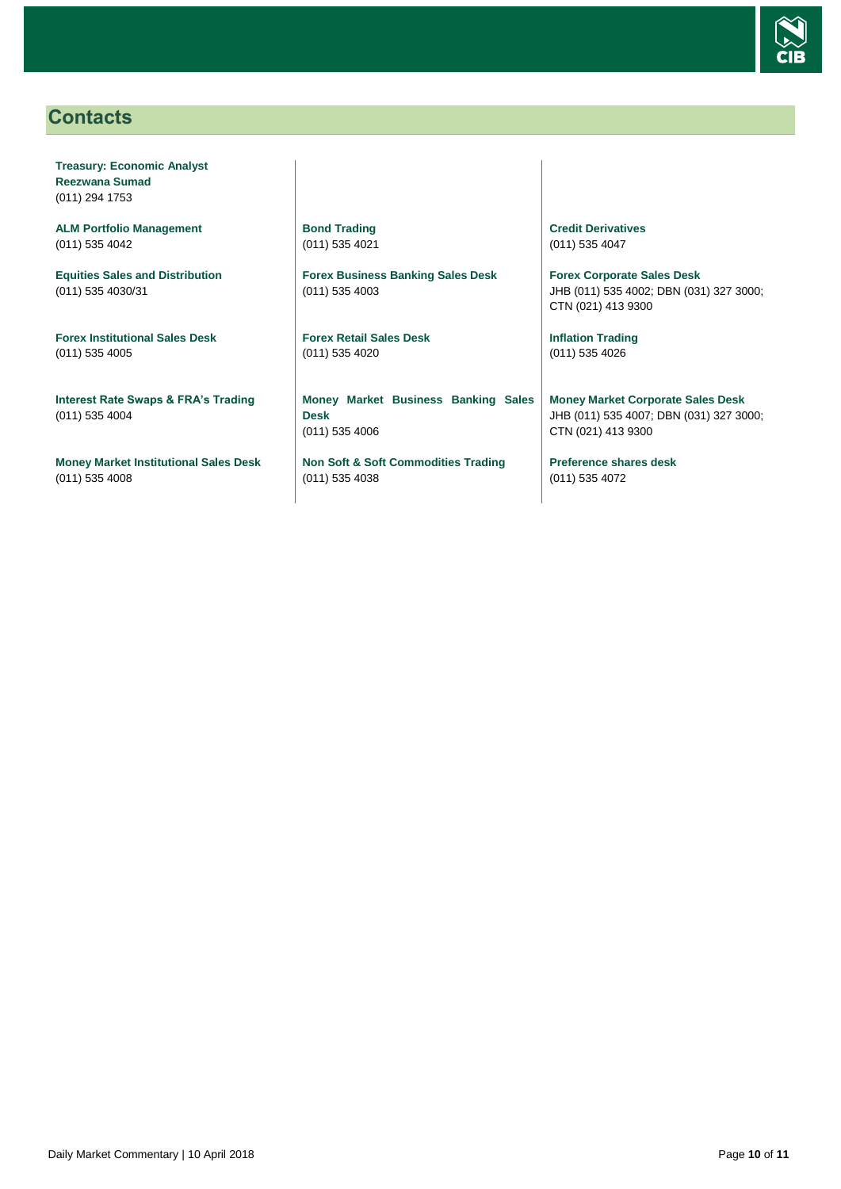

## <span id="page-9-0"></span>**Contacts**

**Treasury: Economic Analyst Reezwana Sumad** (011) 294 1753

**ALM Portfolio Management** (011) 535 4042

**Equities Sales and Distribution** (011) 535 4030/31

**Forex Institutional Sales Desk** (011) 535 4005

**Interest Rate Swaps & FRA's Trading** (011) 535 4004

**Money Market Institutional Sales Desk** (011) 535 4008

**Bond Trading** (011) 535 4021

**Forex Business Banking Sales Desk** (011) 535 4003

**Forex Retail Sales Desk** (011) 535 4020

**Money Market Business Banking Sales Desk** (011) 535 4006

**Non Soft & Soft Commodities Trading** (011) 535 4038

**Credit Derivatives**  (011) 535 4047

**Forex Corporate Sales Desk** JHB (011) 535 4002; DBN (031) 327 3000; CTN (021) 413 9300

**Inflation Trading** (011) 535 4026

**Money Market Corporate Sales Desk** JHB (011) 535 4007; DBN (031) 327 3000; CTN (021) 413 9300

**Preference shares desk** (011) 535 4072